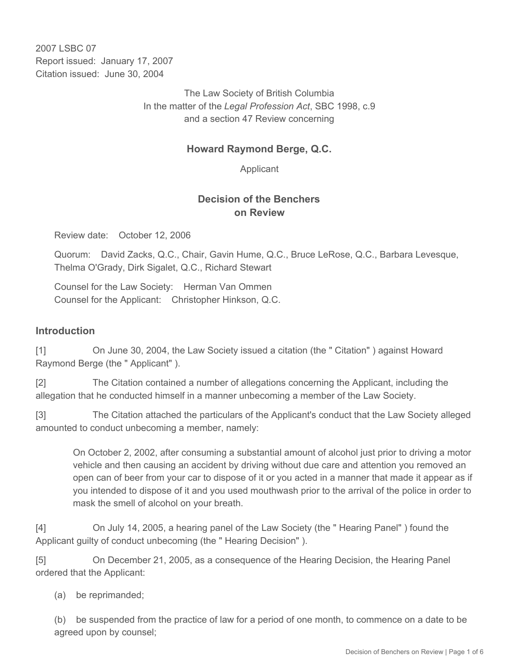2007 LSBC 07 Report issued: January 17, 2007 Citation issued: June 30, 2004

> The Law Society of British Columbia In the matter of the *Legal Profession Act*, SBC 1998, c.9 and a section 47 Review concerning

#### **Howard Raymond Berge, Q.C.**

Applicant

#### **Decision of the Benchers on Review**

Review date: October 12, 2006

Quorum: David Zacks, Q.C., Chair, Gavin Hume, Q.C., Bruce LeRose, Q.C., Barbara Levesque, Thelma O'Grady, Dirk Sigalet, Q.C., Richard Stewart

Counsel for the Law Society: Herman Van Ommen Counsel for the Applicant: Christopher Hinkson, Q.C.

#### **Introduction**

[1] On June 30, 2004, the Law Society issued a citation (the " Citation" ) against Howard Raymond Berge (the " Applicant" ).

[2] The Citation contained a number of allegations concerning the Applicant, including the allegation that he conducted himself in a manner unbecoming a member of the Law Society.

[3] The Citation attached the particulars of the Applicant's conduct that the Law Society alleged amounted to conduct unbecoming a member, namely:

On October 2, 2002, after consuming a substantial amount of alcohol just prior to driving a motor vehicle and then causing an accident by driving without due care and attention you removed an open can of beer from your car to dispose of it or you acted in a manner that made it appear as if you intended to dispose of it and you used mouthwash prior to the arrival of the police in order to mask the smell of alcohol on your breath.

[4] On July 14, 2005, a hearing panel of the Law Society (the " Hearing Panel" ) found the Applicant guilty of conduct unbecoming (the " Hearing Decision" ).

[5] On December 21, 2005, as a consequence of the Hearing Decision, the Hearing Panel ordered that the Applicant:

(a) be reprimanded;

(b) be suspended from the practice of law for a period of one month, to commence on a date to be agreed upon by counsel;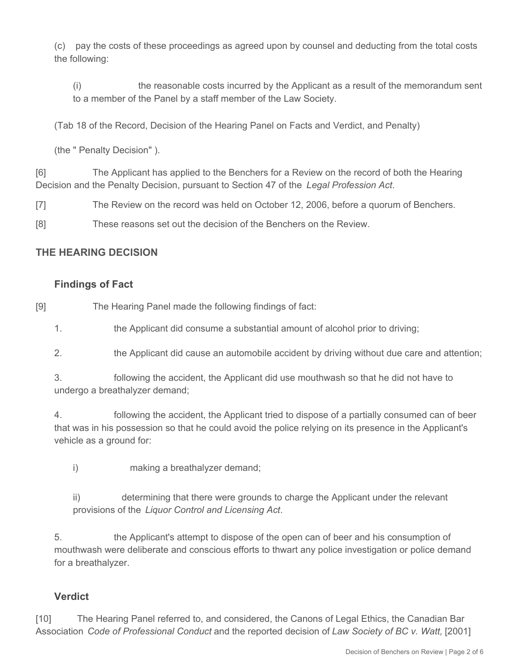(c) pay the costs of these proceedings as agreed upon by counsel and deducting from the total costs the following:

(i) the reasonable costs incurred by the Applicant as a result of the memorandum sent to a member of the Panel by a staff member of the Law Society.

(Tab 18 of the Record, Decision of the Hearing Panel on Facts and Verdict, and Penalty)

(the " Penalty Decision" ).

[6] The Applicant has applied to the Benchers for a Review on the record of both the Hearing Decision and the Penalty Decision, pursuant to Section 47 of the *Legal Profession Act*.

[7] The Review on the record was held on October 12, 2006, before a quorum of Benchers.

[8] These reasons set out the decision of the Benchers on the Review.

## **THE HEARING DECISION**

### **Findings of Fact**

[9] The Hearing Panel made the following findings of fact:

1. the Applicant did consume a substantial amount of alcohol prior to driving;

2. the Applicant did cause an automobile accident by driving without due care and attention;

3. following the accident, the Applicant did use mouthwash so that he did not have to undergo a breathalyzer demand;

4. following the accident, the Applicant tried to dispose of a partially consumed can of beer that was in his possession so that he could avoid the police relying on its presence in the Applicant's vehicle as a ground for:

i) making a breathalyzer demand;

ii) determining that there were grounds to charge the Applicant under the relevant provisions of the *Liquor Control and Licensing Act*.

5. the Applicant's attempt to dispose of the open can of beer and his consumption of mouthwash were deliberate and conscious efforts to thwart any police investigation or police demand for a breathalyzer.

## **Verdict**

[10] The Hearing Panel referred to, and considered, the Canons of Legal Ethics, the Canadian Bar Association *Code of Professional Conduct* and the reported decision of *Law Society of BC v. Watt,* [2001]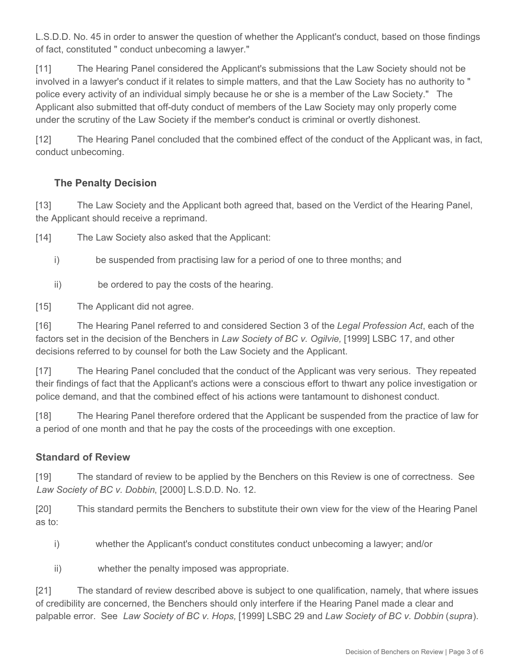L.S.D.D. No. 45 in order to answer the question of whether the Applicant's conduct, based on those findings of fact, constituted " conduct unbecoming a lawyer."

[11] The Hearing Panel considered the Applicant's submissions that the Law Society should not be involved in a lawyer's conduct if it relates to simple matters, and that the Law Society has no authority to " police every activity of an individual simply because he or she is a member of the Law Society." The Applicant also submitted that off-duty conduct of members of the Law Society may only properly come under the scrutiny of the Law Society if the member's conduct is criminal or overtly dishonest.

[12] The Hearing Panel concluded that the combined effect of the conduct of the Applicant was, in fact, conduct unbecoming.

### **The Penalty Decision**

[13] The Law Society and the Applicant both agreed that, based on the Verdict of the Hearing Panel, the Applicant should receive a reprimand.

[14] The Law Society also asked that the Applicant:

- i) be suspended from practising law for a period of one to three months; and
- ii) be ordered to pay the costs of the hearing.

[15] The Applicant did not agree.

[16] The Hearing Panel referred to and considered Section 3 of the *Legal Profession Act*, each of the factors set in the decision of the Benchers in *Law Society of BC v. Ogilvie,* [1999] LSBC 17, and other decisions referred to by counsel for both the Law Society and the Applicant.

[17] The Hearing Panel concluded that the conduct of the Applicant was very serious. They repeated their findings of fact that the Applicant's actions were a conscious effort to thwart any police investigation or police demand, and that the combined effect of his actions were tantamount to dishonest conduct.

[18] The Hearing Panel therefore ordered that the Applicant be suspended from the practice of law for a period of one month and that he pay the costs of the proceedings with one exception.

#### **Standard of Review**

[19] The standard of review to be applied by the Benchers on this Review is one of correctness. See *Law Society of BC v. Dobbin*, [2000] L.S.D.D. No. 12.

[20] This standard permits the Benchers to substitute their own view for the view of the Hearing Panel as to:

i) whether the Applicant's conduct constitutes conduct unbecoming a lawyer; and/or

ii) whether the penalty imposed was appropriate.

[21] The standard of review described above is subject to one qualification, namely, that where issues of credibility are concerned, the Benchers should only interfere if the Hearing Panel made a clear and palpable error. See *Law Society of BC v. Hops,* [1999] LSBC 29 and *Law Society of BC v. Dobbin* (*supra*).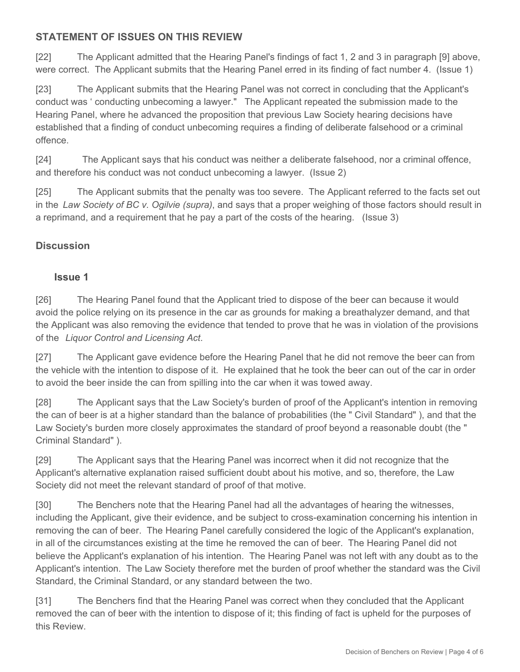## **STATEMENT OF ISSUES ON THIS REVIEW**

[22] The Applicant admitted that the Hearing Panel's findings of fact 1, 2 and 3 in paragraph [9] above, were correct. The Applicant submits that the Hearing Panel erred in its finding of fact number 4. (Issue 1)

[23] The Applicant submits that the Hearing Panel was not correct in concluding that the Applicant's conduct was ' conducting unbecoming a lawyer." The Applicant repeated the submission made to the Hearing Panel, where he advanced the proposition that previous Law Society hearing decisions have established that a finding of conduct unbecoming requires a finding of deliberate falsehood or a criminal offence.

[24] The Applicant says that his conduct was neither a deliberate falsehood, nor a criminal offence, and therefore his conduct was not conduct unbecoming a lawyer. (Issue 2)

[25] The Applicant submits that the penalty was too severe. The Applicant referred to the facts set out in the *Law Society of BC v. Ogilvie (supra)*, and says that a proper weighing of those factors should result in a reprimand, and a requirement that he pay a part of the costs of the hearing. (Issue 3)

# **Discussion**

### **Issue 1**

[26] The Hearing Panel found that the Applicant tried to dispose of the beer can because it would avoid the police relying on its presence in the car as grounds for making a breathalyzer demand, and that the Applicant was also removing the evidence that tended to prove that he was in violation of the provisions of the *Liquor Control and Licensing Act*.

[27] The Applicant gave evidence before the Hearing Panel that he did not remove the beer can from the vehicle with the intention to dispose of it. He explained that he took the beer can out of the car in order to avoid the beer inside the can from spilling into the car when it was towed away.

[28] The Applicant says that the Law Society's burden of proof of the Applicant's intention in removing the can of beer is at a higher standard than the balance of probabilities (the " Civil Standard" ), and that the Law Society's burden more closely approximates the standard of proof beyond a reasonable doubt (the " Criminal Standard" ).

[29] The Applicant says that the Hearing Panel was incorrect when it did not recognize that the Applicant's alternative explanation raised sufficient doubt about his motive, and so, therefore, the Law Society did not meet the relevant standard of proof of that motive.

[30] The Benchers note that the Hearing Panel had all the advantages of hearing the witnesses, including the Applicant, give their evidence, and be subject to cross-examination concerning his intention in removing the can of beer. The Hearing Panel carefully considered the logic of the Applicant's explanation, in all of the circumstances existing at the time he removed the can of beer. The Hearing Panel did not believe the Applicant's explanation of his intention. The Hearing Panel was not left with any doubt as to the Applicant's intention. The Law Society therefore met the burden of proof whether the standard was the Civil Standard, the Criminal Standard, or any standard between the two.

[31] The Benchers find that the Hearing Panel was correct when they concluded that the Applicant removed the can of beer with the intention to dispose of it; this finding of fact is upheld for the purposes of this Review.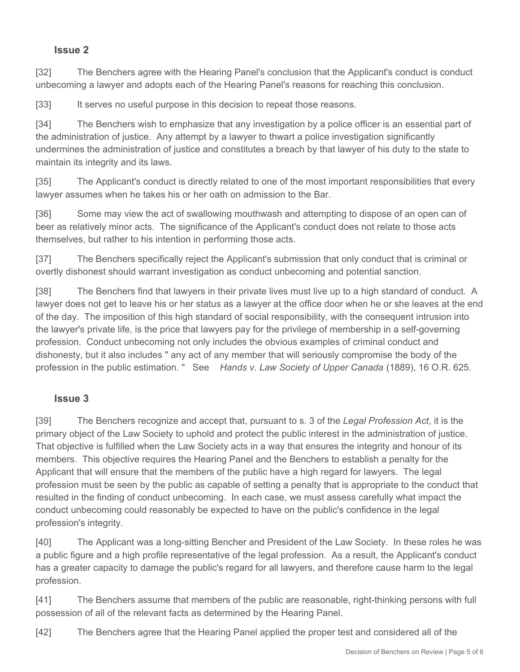#### **Issue 2**

[32] The Benchers agree with the Hearing Panel's conclusion that the Applicant's conduct is conduct unbecoming a lawyer and adopts each of the Hearing Panel's reasons for reaching this conclusion.

[33] It serves no useful purpose in this decision to repeat those reasons.

[34] The Benchers wish to emphasize that any investigation by a police officer is an essential part of the administration of justice. Any attempt by a lawyer to thwart a police investigation significantly undermines the administration of justice and constitutes a breach by that lawyer of his duty to the state to maintain its integrity and its laws.

[35] The Applicant's conduct is directly related to one of the most important responsibilities that every lawyer assumes when he takes his or her oath on admission to the Bar.

[36] Some may view the act of swallowing mouthwash and attempting to dispose of an open can of beer as relatively minor acts. The significance of the Applicant's conduct does not relate to those acts themselves, but rather to his intention in performing those acts.

[37] The Benchers specifically reject the Applicant's submission that only conduct that is criminal or overtly dishonest should warrant investigation as conduct unbecoming and potential sanction.

[38] The Benchers find that lawyers in their private lives must live up to a high standard of conduct. A lawyer does not get to leave his or her status as a lawyer at the office door when he or she leaves at the end of the day. The imposition of this high standard of social responsibility, with the consequent intrusion into the lawyer's private life, is the price that lawyers pay for the privilege of membership in a self-governing profession. Conduct unbecoming not only includes the obvious examples of criminal conduct and dishonesty, but it also includes " any act of any member that will seriously compromise the body of the profession in the public estimation. " See *Hands v. Law Society of Upper Canada* (1889), 16 O.R. 625.

#### **Issue 3**

[39] The Benchers recognize and accept that, pursuant to s. 3 of the *Legal Profession Act*, it is the primary object of the Law Society to uphold and protect the public interest in the administration of justice. That objective is fulfilled when the Law Society acts in a way that ensures the integrity and honour of its members. This objective requires the Hearing Panel and the Benchers to establish a penalty for the Applicant that will ensure that the members of the public have a high regard for lawyers. The legal profession must be seen by the public as capable of setting a penalty that is appropriate to the conduct that resulted in the finding of conduct unbecoming. In each case, we must assess carefully what impact the conduct unbecoming could reasonably be expected to have on the public's confidence in the legal profession's integrity.

[40] The Applicant was a long-sitting Bencher and President of the Law Society. In these roles he was a public figure and a high profile representative of the legal profession. As a result, the Applicant's conduct has a greater capacity to damage the public's regard for all lawyers, and therefore cause harm to the legal profession.

[41] The Benchers assume that members of the public are reasonable, right-thinking persons with full possession of all of the relevant facts as determined by the Hearing Panel.

[42] The Benchers agree that the Hearing Panel applied the proper test and considered all of the